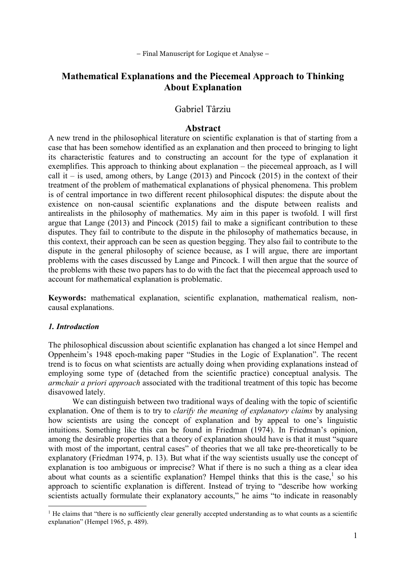– Final Manuscript for Logique et Analyse –

# Mathematical Explanations and the Piecemeal Approach to Thinking About Explanation

# Gabriel Târziu

### Abstract

A new trend in the philosophical literature on scientific explanation is that of starting from a case that has been somehow identified as an explanation and then proceed to bringing to light its characteristic features and to constructing an account for the type of explanation it exemplifies. This approach to thinking about explanation – the piecemeal approach, as I will call it – is used, among others, by Lange  $(2013)$  and Pincock  $(2015)$  in the context of their treatment of the problem of mathematical explanations of physical phenomena. This problem is of central importance in two different recent philosophical disputes: the dispute about the existence on non-causal scientific explanations and the dispute between realists and antirealists in the philosophy of mathematics. My aim in this paper is twofold. I will first argue that Lange (2013) and Pincock (2015) fail to make a significant contribution to these disputes. They fail to contribute to the dispute in the philosophy of mathematics because, in this context, their approach can be seen as question begging. They also fail to contribute to the dispute in the general philosophy of science because, as I will argue, there are important problems with the cases discussed by Lange and Pincock. I will then argue that the source of the problems with these two papers has to do with the fact that the piecemeal approach used to account for mathematical explanation is problematic.

Keywords: mathematical explanation, scientific explanation, mathematical realism, noncausal explanations.

#### 1. Introduction

 $\overline{a}$ 

The philosophical discussion about scientific explanation has changed a lot since Hempel and Oppenheim's 1948 epoch-making paper "Studies in the Logic of Explanation". The recent trend is to focus on what scientists are actually doing when providing explanations instead of employing some type of (detached from the scientific practice) conceptual analysis. The armchair a priori approach associated with the traditional treatment of this topic has become disavowed lately.

We can distinguish between two traditional ways of dealing with the topic of scientific explanation. One of them is to try to *clarify the meaning of explanatory claims* by analysing how scientists are using the concept of explanation and by appeal to one's linguistic intuitions. Something like this can be found in Friedman (1974). In Friedman's opinion, among the desirable properties that a theory of explanation should have is that it must "square with most of the important, central cases" of theories that we all take pre-theoretically to be explanatory (Friedman 1974, p. 13). But what if the way scientists usually use the concept of explanation is too ambiguous or imprecise? What if there is no such a thing as a clear idea about what counts as a scientific explanation? Hempel thinks that this is the case,<sup>1</sup> so his approach to scientific explanation is different. Instead of trying to "describe how working scientists actually formulate their explanatory accounts," he aims "to indicate in reasonably

<sup>&</sup>lt;sup>1</sup> He claims that "there is no sufficiently clear generally accepted understanding as to what counts as a scientific explanation" (Hempel 1965, p. 489).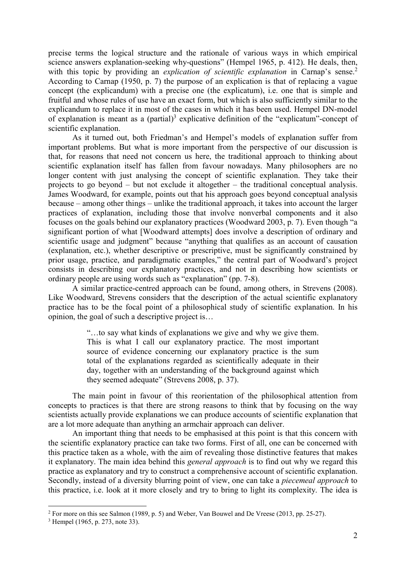precise terms the logical structure and the rationale of various ways in which empirical science answers explanation-seeking why-questions" (Hempel 1965, p. 412). He deals, then, with this topic by providing an *explication of scientific explanation* in Carnap's sense.<sup>2</sup> According to Carnap (1950, p. 7) the purpose of an explication is that of replacing a vague concept (the explicandum) with a precise one (the explicatum), i.e. one that is simple and fruitful and whose rules of use have an exact form, but which is also sufficiently similar to the explicandum to replace it in most of the cases in which it has been used. Hempel DN-model of explanation is meant as a (partial)<sup>3</sup> explicative definition of the "explicatum"-concept of scientific explanation.

As it turned out, both Friedman's and Hempel's models of explanation suffer from important problems. But what is more important from the perspective of our discussion is that, for reasons that need not concern us here, the traditional approach to thinking about scientific explanation itself has fallen from favour nowadays. Many philosophers are no longer content with just analysing the concept of scientific explanation. They take their projects to go beyond – but not exclude it altogether – the traditional conceptual analysis. James Woodward, for example, points out that his approach goes beyond conceptual analysis because – among other things – unlike the traditional approach, it takes into account the larger practices of explanation, including those that involve nonverbal components and it also focuses on the goals behind our explanatory practices (Woodward 2003, p. 7). Even though "a significant portion of what [Woodward attempts] does involve a description of ordinary and scientific usage and judgment" because "anything that qualifies as an account of causation (explanation, etc.), whether descriptive or prescriptive, must be significantly constrained by prior usage, practice, and paradigmatic examples," the central part of Woodward's project consists in describing our explanatory practices, and not in describing how scientists or ordinary people are using words such as "explanation" (pp. 7-8).

A similar practice-centred approach can be found, among others, in Strevens (2008). Like Woodward, Strevens considers that the description of the actual scientific explanatory practice has to be the focal point of a philosophical study of scientific explanation. In his opinion, the goal of such a descriptive project is…

> "…to say what kinds of explanations we give and why we give them. This is what I call our explanatory practice. The most important source of evidence concerning our explanatory practice is the sum total of the explanations regarded as scientifically adequate in their day, together with an understanding of the background against which they seemed adequate" (Strevens 2008, p. 37).

The main point in favour of this reorientation of the philosophical attention from concepts to practices is that there are strong reasons to think that by focusing on the way scientists actually provide explanations we can produce accounts of scientific explanation that are a lot more adequate than anything an armchair approach can deliver.

An important thing that needs to be emphasised at this point is that this concern with the scientific explanatory practice can take two forms. First of all, one can be concerned with this practice taken as a whole, with the aim of revealing those distinctive features that makes it explanatory. The main idea behind this general approach is to find out why we regard this practice as explanatory and try to construct a comprehensive account of scientific explanation. Secondly, instead of a diversity blurring point of view, one can take a *piecemeal approach* to this practice, i.e. look at it more closely and try to bring to light its complexity. The idea is

<sup>&</sup>lt;sup>2</sup> For more on this see Salmon (1989, p. 5) and Weber, Van Bouwel and De Vreese (2013, pp. 25-27).

<sup>3</sup> Hempel (1965, p. 273, note 33).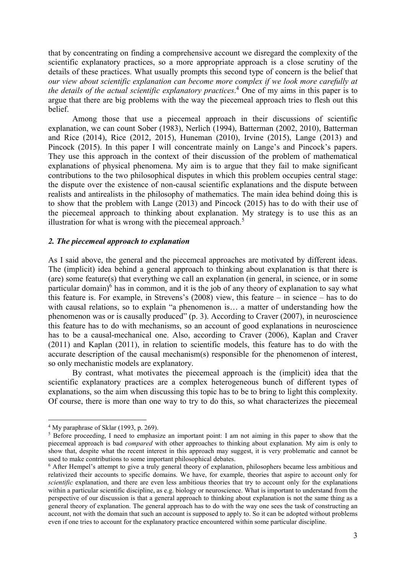that by concentrating on finding a comprehensive account we disregard the complexity of the scientific explanatory practices, so a more appropriate approach is a close scrutiny of the details of these practices. What usually prompts this second type of concern is the belief that our view about scientific explanation can become more complex if we look more carefully at the details of the actual scientific explanatory practices.<sup>4</sup> One of my aims in this paper is to argue that there are big problems with the way the piecemeal approach tries to flesh out this belief.

Among those that use a piecemeal approach in their discussions of scientific explanation, we can count Sober (1983), Nerlich (1994), Batterman (2002, 2010), Batterman and Rice (2014), Rice (2012, 2015), Huneman (2010), Irvine (2015), Lange (2013) and Pincock (2015). In this paper I will concentrate mainly on Lange's and Pincock's papers. They use this approach in the context of their discussion of the problem of mathematical explanations of physical phenomena. My aim is to argue that they fail to make significant contributions to the two philosophical disputes in which this problem occupies central stage: the dispute over the existence of non-causal scientific explanations and the dispute between realists and antirealists in the philosophy of mathematics. The main idea behind doing this is to show that the problem with Lange (2013) and Pincock (2015) has to do with their use of the piecemeal approach to thinking about explanation. My strategy is to use this as an illustration for what is wrong with the piecemeal approach.<sup>5</sup>

### 2. The piecemeal approach to explanation

As I said above, the general and the piecemeal approaches are motivated by different ideas. The (implicit) idea behind a general approach to thinking about explanation is that there is (are) some feature(s) that everything we call an explanation (in general, in science, or in some particular domain)<sup>6</sup> has in common, and it is the job of any theory of explanation to say what this feature is. For example, in Strevens's (2008) view, this feature – in science – has to do with causal relations, so to explain "a phenomenon is… a matter of understanding how the phenomenon was or is causally produced" (p. 3). According to Craver (2007), in neuroscience this feature has to do with mechanisms, so an account of good explanations in neuroscience has to be a causal-mechanical one. Also, according to Craver (2006), Kaplan and Craver (2011) and Kaplan (2011), in relation to scientific models, this feature has to do with the accurate description of the causal mechanism(s) responsible for the phenomenon of interest, so only mechanistic models are explanatory.

 By contrast, what motivates the piecemeal approach is the (implicit) idea that the scientific explanatory practices are a complex heterogeneous bunch of different types of explanations, so the aim when discussing this topic has to be to bring to light this complexity. Of course, there is more than one way to try to do this, so what characterizes the piecemeal

<sup>4</sup> My paraphrase of Sklar (1993, p. 269).

<sup>&</sup>lt;sup>5</sup> Before proceeding, I need to emphasize an important point: I am not aiming in this paper to show that the piecemeal approach is bad compared with other approaches to thinking about explanation. My aim is only to show that, despite what the recent interest in this approach may suggest, it is very problematic and cannot be used to make contributions to some important philosophical debates.

<sup>&</sup>lt;sup>6</sup> After Hempel's attempt to give a truly general theory of explanation, philosophers became less ambitious and relativized their accounts to specific domains. We have, for example, theories that aspire to account only for scientific explanation, and there are even less ambitious theories that try to account only for the explanations within a particular scientific discipline, as e.g. biology or neuroscience. What is important to understand from the perspective of our discussion is that a general approach to thinking about explanation is not the same thing as a general theory of explanation. The general approach has to do with the way one sees the task of constructing an account, not with the domain that such an account is supposed to apply to. So it can be adopted without problems even if one tries to account for the explanatory practice encountered within some particular discipline.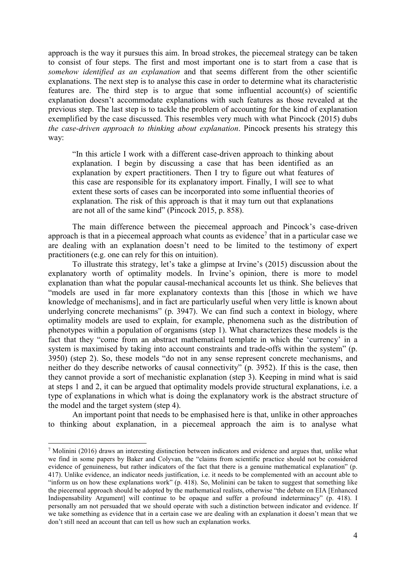approach is the way it pursues this aim. In broad strokes, the piecemeal strategy can be taken to consist of four steps. The first and most important one is to start from a case that is somehow identified as an explanation and that seems different from the other scientific explanations. The next step is to analyse this case in order to determine what its characteristic features are. The third step is to argue that some influential account(s) of scientific explanation doesn't accommodate explanations with such features as those revealed at the previous step. The last step is to tackle the problem of accounting for the kind of explanation exemplified by the case discussed. This resembles very much with what Pincock (2015) dubs the case-driven approach to thinking about explanation. Pincock presents his strategy this way:

"In this article I work with a different case-driven approach to thinking about explanation. I begin by discussing a case that has been identified as an explanation by expert practitioners. Then I try to figure out what features of this case are responsible for its explanatory import. Finally, I will see to what extent these sorts of cases can be incorporated into some influential theories of explanation. The risk of this approach is that it may turn out that explanations are not all of the same kind" (Pincock 2015, p. 858).

The main difference between the piecemeal approach and Pincock's case-driven approach is that in a piecemeal approach what counts as evidence<sup>7</sup> that in a particular case we are dealing with an explanation doesn't need to be limited to the testimony of expert practitioners (e.g. one can rely for this on intuition).

To illustrate this strategy, let's take a glimpse at Irvine's (2015) discussion about the explanatory worth of optimality models. In Irvine's opinion, there is more to model explanation than what the popular causal-mechanical accounts let us think. She believes that "models are used in far more explanatory contexts than this [those in which we have knowledge of mechanisms], and in fact are particularly useful when very little is known about underlying concrete mechanisms" (p. 3947). We can find such a context in biology, where optimality models are used to explain, for example, phenomena such as the distribution of phenotypes within a population of organisms (step 1). What characterizes these models is the fact that they "come from an abstract mathematical template in which the 'currency' in a system is maximised by taking into account constraints and trade-offs within the system" (p. 3950) (step 2). So, these models "do not in any sense represent concrete mechanisms, and neither do they describe networks of causal connectivity" (p. 3952). If this is the case, then they cannot provide a sort of mechanistic explanation (step 3). Keeping in mind what is said at steps 1 and 2, it can be argued that optimality models provide structural explanations, i.e. a type of explanations in which what is doing the explanatory work is the abstract structure of the model and the target system (step 4).

An important point that needs to be emphasised here is that, unlike in other approaches to thinking about explanation, in a piecemeal approach the aim is to analyse what

<sup>&</sup>lt;sup>7</sup> Molinini (2016) draws an interesting distinction between indicators and evidence and argues that, unlike what we find in some papers by Baker and Colyvan, the "claims from scientific practice should not be considered evidence of genuineness, but rather indicators of the fact that there is a genuine mathematical explanation" (p. 417). Unlike evidence, an indicator needs justification, i.e. it needs to be complemented with an account able to "inform us on how these explanations work" (p. 418). So, Molinini can be taken to suggest that something like the piecemeal approach should be adopted by the mathematical realists, otherwise "the debate on EIA [Enhanced Indispensability Argument] will continue to be opaque and suffer a profound indeterminacy" (p. 418). I personally am not persuaded that we should operate with such a distinction between indicator and evidence. If we take something as evidence that in a certain case we are dealing with an explanation it doesn't mean that we don't still need an account that can tell us how such an explanation works.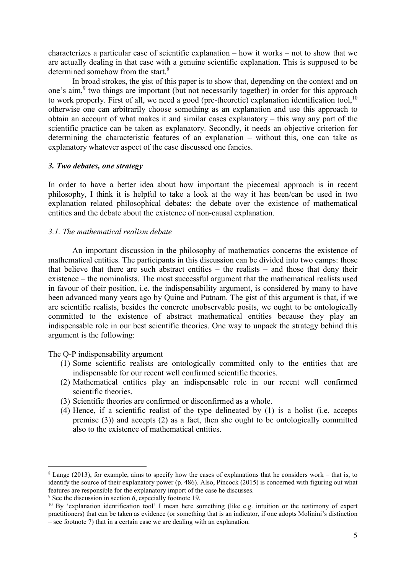characterizes a particular case of scientific explanation – how it works – not to show that we are actually dealing in that case with a genuine scientific explanation. This is supposed to be determined somehow from the start.<sup>8</sup>

In broad strokes, the gist of this paper is to show that, depending on the context and on one's aim,<sup>9</sup> two things are important (but not necessarily together) in order for this approach to work properly. First of all, we need a good (pre-theoretic) explanation identification tool,  $10$ otherwise one can arbitrarily choose something as an explanation and use this approach to obtain an account of what makes it and similar cases explanatory – this way any part of the scientific practice can be taken as explanatory. Secondly, it needs an objective criterion for determining the characteristic features of an explanation – without this, one can take as explanatory whatever aspect of the case discussed one fancies.

# 3. Two debates, one strategy

In order to have a better idea about how important the piecemeal approach is in recent philosophy, I think it is helpful to take a look at the way it has been/can be used in two explanation related philosophical debates: the debate over the existence of mathematical entities and the debate about the existence of non-causal explanation.

# 3.1. The mathematical realism debate

 An important discussion in the philosophy of mathematics concerns the existence of mathematical entities. The participants in this discussion can be divided into two camps: those that believe that there are such abstract entities – the realists – and those that deny their existence – the nominalists. The most successful argument that the mathematical realists used in favour of their position, i.e. the indispensability argument, is considered by many to have been advanced many years ago by Quine and Putnam. The gist of this argument is that, if we are scientific realists, besides the concrete unobservable posits, we ought to be ontologically committed to the existence of abstract mathematical entities because they play an indispensable role in our best scientific theories. One way to unpack the strategy behind this argument is the following:

The Q-P indispensability argument

- (1) Some scientific realists are ontologically committed only to the entities that are indispensable for our recent well confirmed scientific theories.
- (2) Mathematical entities play an indispensable role in our recent well confirmed scientific theories.
- (3) Scientific theories are confirmed or disconfirmed as a whole.
- (4) Hence, if a scientific realist of the type delineated by (1) is a holist (i.e. accepts premise (3)) and accepts (2) as a fact, then she ought to be ontologically committed also to the existence of mathematical entities.

<sup>8</sup> Lange (2013), for example, aims to specify how the cases of explanations that he considers work – that is, to identify the source of their explanatory power (p. 486). Also, Pincock (2015) is concerned with figuring out what features are responsible for the explanatory import of the case he discusses.

<sup>&</sup>lt;sup>9</sup> See the discussion in section 6, especially footnote 19.

<sup>&</sup>lt;sup>10</sup> By 'explanation identification tool' I mean here something (like e.g. intuition or the testimony of expert practitioners) that can be taken as evidence (or something that is an indicator, if one adopts Molinini's distinction – see footnote 7) that in a certain case we are dealing with an explanation.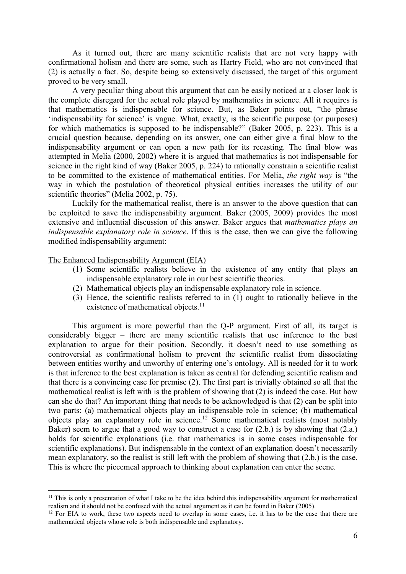As it turned out, there are many scientific realists that are not very happy with confirmational holism and there are some, such as Hartry Field, who are not convinced that (2) is actually a fact. So, despite being so extensively discussed, the target of this argument proved to be very small.

A very peculiar thing about this argument that can be easily noticed at a closer look is the complete disregard for the actual role played by mathematics in science. All it requires is that mathematics is indispensable for science. But, as Baker points out, "the phrase 'indispensability for science' is vague. What, exactly, is the scientific purpose (or purposes) for which mathematics is supposed to be indispensable?" (Baker 2005, p. 223). This is a crucial question because, depending on its answer, one can either give a final blow to the indispensability argument or can open a new path for its recasting. The final blow was attempted in Melia (2000, 2002) where it is argued that mathematics is not indispensable for science in the right kind of way (Baker 2005, p. 224) to rationally constrain a scientific realist to be committed to the existence of mathematical entities. For Melia, the right way is "the way in which the postulation of theoretical physical entities increases the utility of our scientific theories" (Melia 2002, p. 75).

Luckily for the mathematical realist, there is an answer to the above question that can be exploited to save the indispensability argument. Baker (2005, 2009) provides the most extensive and influential discussion of this answer. Baker argues that *mathematics plays an* indispensable explanatory role in science. If this is the case, then we can give the following modified indispensability argument:

#### The Enhanced Indispensability Argument (EIA)

 $\overline{a}$ 

- (1) Some scientific realists believe in the existence of any entity that plays an indispensable explanatory role in our best scientific theories.
- (2) Mathematical objects play an indispensable explanatory role in science.
- (3) Hence, the scientific realists referred to in (1) ought to rationally believe in the existence of mathematical objects.<sup>11</sup>

This argument is more powerful than the Q-P argument. First of all, its target is considerably bigger – there are many scientific realists that use inference to the best explanation to argue for their position. Secondly, it doesn't need to use something as controversial as confirmational holism to prevent the scientific realist from dissociating between entities worthy and unworthy of entering one's ontology. All is needed for it to work is that inference to the best explanation is taken as central for defending scientific realism and that there is a convincing case for premise (2). The first part is trivially obtained so all that the mathematical realist is left with is the problem of showing that (2) is indeed the case. But how can she do that? An important thing that needs to be acknowledged is that (2) can be split into two parts: (a) mathematical objects play an indispensable role in science; (b) mathematical objects play an explanatory role in science.<sup>12</sup> Some mathematical realists (most notably Baker) seem to argue that a good way to construct a case for  $(2.b.)$  is by showing that  $(2.a.)$ holds for scientific explanations (i.e. that mathematics is in some cases indispensable for scientific explanations). But indispensable in the context of an explanation doesn't necessarily mean explanatory, so the realist is still left with the problem of showing that (2.b.) is the case. This is where the piecemeal approach to thinking about explanation can enter the scene.

 $11$  This is only a presentation of what I take to be the idea behind this indispensability argument for mathematical realism and it should not be confused with the actual argument as it can be found in Baker (2005).

<sup>&</sup>lt;sup>12</sup> For EIA to work, these two aspects need to overlap in some cases, i.e. it has to be the case that there are mathematical objects whose role is both indispensable and explanatory.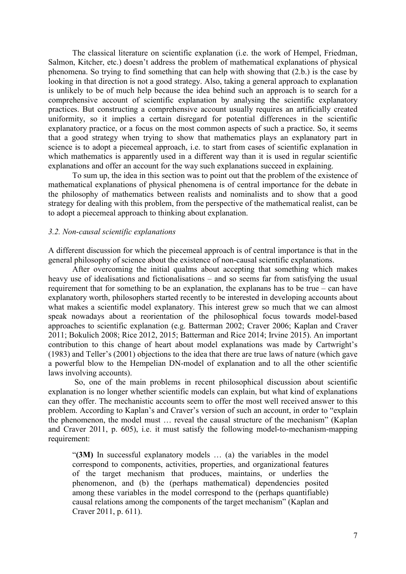The classical literature on scientific explanation (i.e. the work of Hempel, Friedman, Salmon, Kitcher, etc.) doesn't address the problem of mathematical explanations of physical phenomena. So trying to find something that can help with showing that (2.b.) is the case by looking in that direction is not a good strategy. Also, taking a general approach to explanation is unlikely to be of much help because the idea behind such an approach is to search for a comprehensive account of scientific explanation by analysing the scientific explanatory practices. But constructing a comprehensive account usually requires an artificially created uniformity, so it implies a certain disregard for potential differences in the scientific explanatory practice, or a focus on the most common aspects of such a practice. So, it seems that a good strategy when trying to show that mathematics plays an explanatory part in science is to adopt a piecemeal approach, i.e. to start from cases of scientific explanation in which mathematics is apparently used in a different way than it is used in regular scientific explanations and offer an account for the way such explanations succeed in explaining.

To sum up, the idea in this section was to point out that the problem of the existence of mathematical explanations of physical phenomena is of central importance for the debate in the philosophy of mathematics between realists and nominalists and to show that a good strategy for dealing with this problem, from the perspective of the mathematical realist, can be to adopt a piecemeal approach to thinking about explanation.

#### 3.2. Non-causal scientific explanations

A different discussion for which the piecemeal approach is of central importance is that in the general philosophy of science about the existence of non-causal scientific explanations.

After overcoming the initial qualms about accepting that something which makes heavy use of idealisations and fictionalisations – and so seems far from satisfying the usual requirement that for something to be an explanation, the explanans has to be true – can have explanatory worth, philosophers started recently to be interested in developing accounts about what makes a scientific model explanatory. This interest grew so much that we can almost speak nowadays about a reorientation of the philosophical focus towards model-based approaches to scientific explanation (e.g. Batterman 2002; Craver 2006; Kaplan and Craver 2011; Bokulich 2008; Rice 2012, 2015; Batterman and Rice 2014; Irvine 2015). An important contribution to this change of heart about model explanations was made by Cartwright's (1983) and Teller's (2001) objections to the idea that there are true laws of nature (which gave a powerful blow to the Hempelian DN-model of explanation and to all the other scientific laws involving accounts).

 So, one of the main problems in recent philosophical discussion about scientific explanation is no longer whether scientific models can explain, but what kind of explanations can they offer. The mechanistic accounts seem to offer the most well received answer to this problem. According to Kaplan's and Craver's version of such an account, in order to "explain the phenomenon, the model must … reveal the causal structure of the mechanism" (Kaplan and Craver 2011, p. 605), i.e. it must satisfy the following model-to-mechanism-mapping requirement:

"(3M) In successful explanatory models … (a) the variables in the model correspond to components, activities, properties, and organizational features of the target mechanism that produces, maintains, or underlies the phenomenon, and (b) the (perhaps mathematical) dependencies posited among these variables in the model correspond to the (perhaps quantifiable) causal relations among the components of the target mechanism" (Kaplan and Craver 2011, p. 611).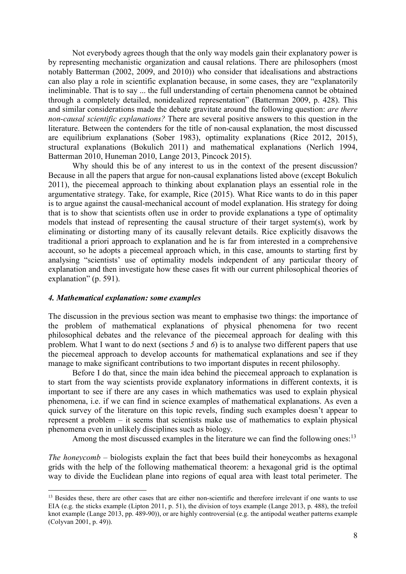Not everybody agrees though that the only way models gain their explanatory power is by representing mechanistic organization and causal relations. There are philosophers (most notably Batterman (2002, 2009, and 2010)) who consider that idealisations and abstractions can also play a role in scientific explanation because, in some cases, they are "explanatorily ineliminable. That is to say ... the full understanding of certain phenomena cannot be obtained through a completely detailed, nonidealized representation" (Batterman 2009, p. 428). This and similar considerations made the debate gravitate around the following question: *are there* non-causal scientific explanations? There are several positive answers to this question in the literature. Between the contenders for the title of non-causal explanation, the most discussed are equilibrium explanations (Sober 1983), optimality explanations (Rice 2012, 2015), structural explanations (Bokulich 2011) and mathematical explanations (Nerlich 1994, Batterman 2010, Huneman 2010, Lange 2013, Pincock 2015).

Why should this be of any interest to us in the context of the present discussion? Because in all the papers that argue for non-causal explanations listed above (except Bokulich 2011), the piecemeal approach to thinking about explanation plays an essential role in the argumentative strategy. Take, for example, Rice (2015). What Rice wants to do in this paper is to argue against the causal-mechanical account of model explanation. His strategy for doing that is to show that scientists often use in order to provide explanations a type of optimality models that instead of representing the causal structure of their target system(s), work by eliminating or distorting many of its causally relevant details. Rice explicitly disavows the traditional a priori approach to explanation and he is far from interested in a comprehensive account, so he adopts a piecemeal approach which, in this case, amounts to starting first by analysing "scientists' use of optimality models independent of any particular theory of explanation and then investigate how these cases fit with our current philosophical theories of explanation" (p. 591).

#### 4. Mathematical explanation: some examples

 $\overline{a}$ 

The discussion in the previous section was meant to emphasise two things: the importance of the problem of mathematical explanations of physical phenomena for two recent philosophical debates and the relevance of the piecemeal approach for dealing with this problem. What I want to do next (sections 5 and 6) is to analyse two different papers that use the piecemeal approach to develop accounts for mathematical explanations and see if they manage to make significant contributions to two important disputes in recent philosophy.

 Before I do that, since the main idea behind the piecemeal approach to explanation is to start from the way scientists provide explanatory informations in different contexts, it is important to see if there are any cases in which mathematics was used to explain physical phenomena, i.e. if we can find in science examples of mathematical explanations. As even a quick survey of the literature on this topic revels, finding such examples doesn't appear to represent a problem – it seems that scientists make use of mathematics to explain physical phenomena even in unlikely disciplines such as biology.

Among the most discussed examples in the literature we can find the following ones:<sup>13</sup>

The honeycomb  $-$  biologists explain the fact that bees build their honeycombs as hexagonal grids with the help of the following mathematical theorem: a hexagonal grid is the optimal way to divide the Euclidean plane into regions of equal area with least total perimeter. The

<sup>&</sup>lt;sup>13</sup> Besides these, there are other cases that are either non-scientific and therefore irrelevant if one wants to use EIA (e.g. the sticks example (Lipton 2011, p. 51), the division of toys example (Lange 2013, p. 488), the trefoil knot example (Lange 2013, pp. 489-90)), or are highly controversial (e.g. the antipodal weather patterns example (Colyvan 2001, p. 49)).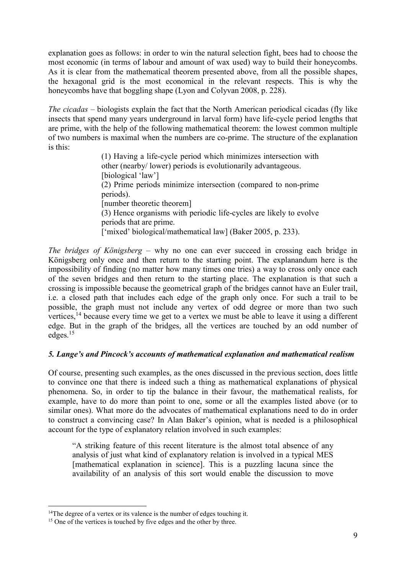explanation goes as follows: in order to win the natural selection fight, bees had to choose the most economic (in terms of labour and amount of wax used) way to build their honeycombs. As it is clear from the mathematical theorem presented above, from all the possible shapes, the hexagonal grid is the most economical in the relevant respects. This is why the honeycombs have that boggling shape (Lyon and Colyvan 2008, p. 228).

The cicadas – biologists explain the fact that the North American periodical cicadas (fly like insects that spend many years underground in larval form) have life-cycle period lengths that are prime, with the help of the following mathematical theorem: the lowest common multiple of two numbers is maximal when the numbers are co-prime. The structure of the explanation is this:

> (1) Having a life-cycle period which minimizes intersection with other (nearby/ lower) periods is evolutionarily advantageous. [biological 'law'] (2) Prime periods minimize intersection (compared to non-prime periods). [number theoretic theorem] (3) Hence organisms with periodic life-cycles are likely to evolve periods that are prime. ['mixed' biological/mathematical law] (Baker 2005, p. 233).

The bridges of Königsberg – why no one can ever succeed in crossing each bridge in Königsberg only once and then return to the starting point. The explanandum here is the impossibility of finding (no matter how many times one tries) a way to cross only once each of the seven bridges and then return to the starting place. The explanation is that such a crossing is impossible because the geometrical graph of the bridges cannot have an Euler trail, i.e. a closed path that includes each edge of the graph only once. For such a trail to be possible, the graph must not include any vertex of odd degree or more than two such vertices,<sup>14</sup> because every time we get to a vertex we must be able to leave it using a different edge. But in the graph of the bridges, all the vertices are touched by an odd number of edges.<sup>15</sup>

# 5. Lange's and Pincock's accounts of mathematical explanation and mathematical realism

Of course, presenting such examples, as the ones discussed in the previous section, does little to convince one that there is indeed such a thing as mathematical explanations of physical phenomena. So, in order to tip the balance in their favour, the mathematical realists, for example, have to do more than point to one, some or all the examples listed above (or to similar ones). What more do the advocates of mathematical explanations need to do in order to construct a convincing case? In Alan Baker's opinion, what is needed is a philosophical account for the type of explanatory relation involved in such examples:

"A striking feature of this recent literature is the almost total absence of any analysis of just what kind of explanatory relation is involved in a typical MES [mathematical explanation in science]. This is a puzzling lacuna since the availability of an analysis of this sort would enable the discussion to move

<sup>&</sup>lt;sup>14</sup>The degree of a vertex or its valence is the number of edges touching it.

<sup>&</sup>lt;sup>15</sup> One of the vertices is touched by five edges and the other by three.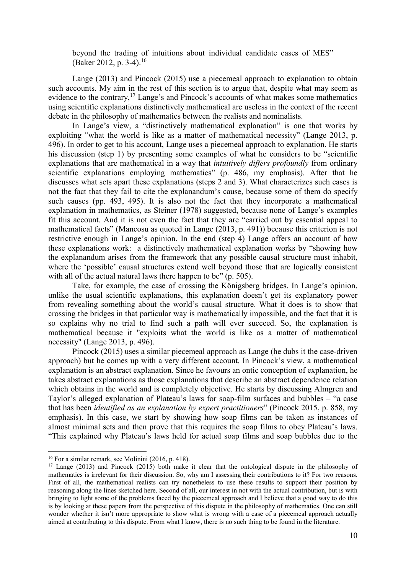beyond the trading of intuitions about individual candidate cases of MES" (Baker 2012, p. 3-4).<sup>16</sup>

 Lange (2013) and Pincock (2015) use a piecemeal approach to explanation to obtain such accounts. My aim in the rest of this section is to argue that, despite what may seem as evidence to the contrary,  $17$  Lange's and Pincock's accounts of what makes some mathematics using scientific explanations distinctively mathematical are useless in the context of the recent debate in the philosophy of mathematics between the realists and nominalists.

 In Lange's view, a "distinctively mathematical explanation" is one that works by exploiting "what the world is like as a matter of mathematical necessity" (Lange 2013, p. 496). In order to get to his account, Lange uses a piecemeal approach to explanation. He starts his discussion (step 1) by presenting some examples of what he considers to be "scientific explanations that are mathematical in a way that *intuitively differs profoundly* from ordinary scientific explanations employing mathematics" (p. 486, my emphasis). After that he discusses what sets apart these explanations (steps 2 and 3). What characterizes such cases is not the fact that they fail to cite the explanandum's cause, because some of them do specify such causes (pp. 493, 495). It is also not the fact that they incorporate a mathematical explanation in mathematics, as Steiner (1978) suggested, because none of Lange's examples fit this account. And it is not even the fact that they are "carried out by essential appeal to mathematical facts" (Mancosu as quoted in Lange (2013, p. 491)) because this criterion is not restrictive enough in Lange's opinion. In the end (step 4) Lange offers an account of how these explanations work: a distinctively mathematical explanation works by "showing how the explanandum arises from the framework that any possible causal structure must inhabit, where the 'possible' causal structures extend well beyond those that are logically consistent with all of the actual natural laws there happen to be" (p. 505).

 Take, for example, the case of crossing the Königsberg bridges. In Lange's opinion, unlike the usual scientific explanations, this explanation doesn't get its explanatory power from revealing something about the world's causal structure. What it does is to show that crossing the bridges in that particular way is mathematically impossible, and the fact that it is so explains why no trial to find such a path will ever succeed. So, the explanation is mathematical because it "exploits what the world is like as a matter of mathematical necessity" (Lange 2013, p. 496).

 Pincock (2015) uses a similar piecemeal approach as Lange (he dubs it the case-driven approach) but he comes up with a very different account. In Pincock's view, a mathematical explanation is an abstract explanation. Since he favours an ontic conception of explanation, he takes abstract explanations as those explanations that describe an abstract dependence relation which obtains in the world and is completely objective. He starts by discussing Almgren and Taylor's alleged explanation of Plateau's laws for soap-film surfaces and bubbles – "a case that has been *identified as an explanation by expert practitioners*" (Pincock 2015, p. 858, my emphasis). In this case, we start by showing how soap films can be taken as instances of almost minimal sets and then prove that this requires the soap films to obey Plateau's laws. "This explained why Plateau's laws held for actual soap films and soap bubbles due to the

<sup>16</sup> For a similar remark, see Molinini (2016, p. 418).

<sup>&</sup>lt;sup>17</sup> Lange (2013) and Pincock (2015) both make it clear that the ontological dispute in the philosophy of mathematics is irrelevant for their discussion. So, why am I assessing their contributions to it? For two reasons. First of all, the mathematical realists can try nonetheless to use these results to support their position by reasoning along the lines sketched here. Second of all, our interest in not with the actual contribution, but is with bringing to light some of the problems faced by the piecemeal approach and I believe that a good way to do this is by looking at these papers from the perspective of this dispute in the philosophy of mathematics. One can still wonder whether it isn't more appropriate to show what is wrong with a case of a piecemeal approach actually aimed at contributing to this dispute. From what I know, there is no such thing to be found in the literature.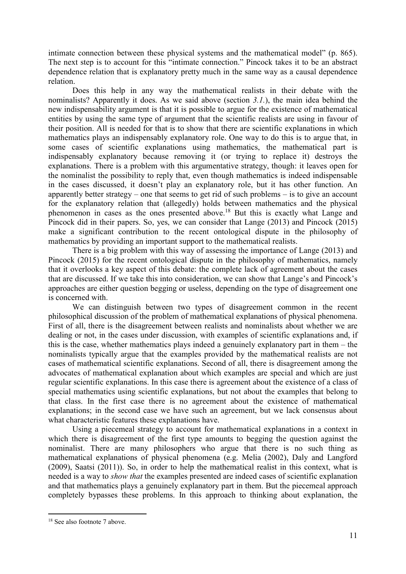intimate connection between these physical systems and the mathematical model" (p. 865). The next step is to account for this "intimate connection." Pincock takes it to be an abstract dependence relation that is explanatory pretty much in the same way as a causal dependence relation.

 Does this help in any way the mathematical realists in their debate with the nominalists? Apparently it does. As we said above (section 3.1.), the main idea behind the new indispensability argument is that it is possible to argue for the existence of mathematical entities by using the same type of argument that the scientific realists are using in favour of their position. All is needed for that is to show that there are scientific explanations in which mathematics plays an indispensably explanatory role. One way to do this is to argue that, in some cases of scientific explanations using mathematics, the mathematical part is indispensably explanatory because removing it (or trying to replace it) destroys the explanations. There is a problem with this argumentative strategy, though: it leaves open for the nominalist the possibility to reply that, even though mathematics is indeed indispensable in the cases discussed, it doesn't play an explanatory role, but it has other function. An apparently better strategy – one that seems to get rid of such problems – is to give an account for the explanatory relation that (allegedly) holds between mathematics and the physical phenomenon in cases as the ones presented above.<sup>18</sup> But this is exactly what Lange and Pincock did in their papers. So, yes, we can consider that Lange (2013) and Pincock (2015) make a significant contribution to the recent ontological dispute in the philosophy of mathematics by providing an important support to the mathematical realists.

 There is a big problem with this way of assessing the importance of Lange (2013) and Pincock (2015) for the recent ontological dispute in the philosophy of mathematics, namely that it overlooks a key aspect of this debate: the complete lack of agreement about the cases that are discussed. If we take this into consideration, we can show that Lange's and Pincock's approaches are either question begging or useless, depending on the type of disagreement one is concerned with.

 We can distinguish between two types of disagreement common in the recent philosophical discussion of the problem of mathematical explanations of physical phenomena. First of all, there is the disagreement between realists and nominalists about whether we are dealing or not, in the cases under discussion, with examples of scientific explanations and, if this is the case, whether mathematics plays indeed a genuinely explanatory part in them – the nominalists typically argue that the examples provided by the mathematical realists are not cases of mathematical scientific explanations. Second of all, there is disagreement among the advocates of mathematical explanation about which examples are special and which are just regular scientific explanations. In this case there is agreement about the existence of a class of special mathematics using scientific explanations, but not about the examples that belong to that class. In the first case there is no agreement about the existence of mathematical explanations; in the second case we have such an agreement, but we lack consensus about what characteristic features these explanations have.

 Using a piecemeal strategy to account for mathematical explanations in a context in which there is disagreement of the first type amounts to begging the question against the nominalist. There are many philosophers who argue that there is no such thing as mathematical explanations of physical phenomena (e.g. Melia (2002), Daly and Langford (2009), Saatsi (2011)). So, in order to help the mathematical realist in this context, what is needed is a way to show that the examples presented are indeed cases of scientific explanation and that mathematics plays a genuinely explanatory part in them. But the piecemeal approach completely bypasses these problems. In this approach to thinking about explanation, the

<sup>&</sup>lt;sup>18</sup> See also footnote 7 above.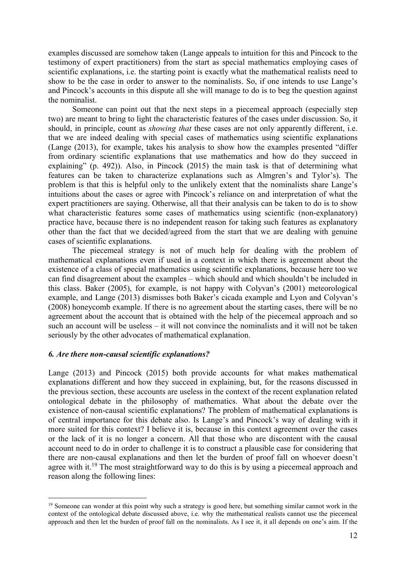examples discussed are somehow taken (Lange appeals to intuition for this and Pincock to the testimony of expert practitioners) from the start as special mathematics employing cases of scientific explanations, i.e. the starting point is exactly what the mathematical realists need to show to be the case in order to answer to the nominalists. So, if one intends to use Lange's and Pincock's accounts in this dispute all she will manage to do is to beg the question against the nominalist.

 Someone can point out that the next steps in a piecemeal approach (especially step two) are meant to bring to light the characteristic features of the cases under discussion. So, it should, in principle, count as *showing that* these cases are not only apparently different, i.e. that we are indeed dealing with special cases of mathematics using scientific explanations (Lange (2013), for example, takes his analysis to show how the examples presented "differ from ordinary scientific explanations that use mathematics and how do they succeed in explaining" (p. 492)). Also, in Pincock (2015) the main task is that of determining what features can be taken to characterize explanations such as Almgren's and Tylor's). The problem is that this is helpful only to the unlikely extent that the nominalists share Lange's intuitions about the cases or agree with Pincock's reliance on and interpretation of what the expert practitioners are saying. Otherwise, all that their analysis can be taken to do is to show what characteristic features some cases of mathematics using scientific (non-explanatory) practice have, because there is no independent reason for taking such features as explanatory other than the fact that we decided/agreed from the start that we are dealing with genuine cases of scientific explanations.

 The piecemeal strategy is not of much help for dealing with the problem of mathematical explanations even if used in a context in which there is agreement about the existence of a class of special mathematics using scientific explanations, because here too we can find disagreement about the examples – which should and which shouldn't be included in this class. Baker (2005), for example, is not happy with Colyvan's (2001) meteorological example, and Lange (2013) dismisses both Baker's cicada example and Lyon and Colyvan's (2008) honeycomb example. If there is no agreement about the starting cases, there will be no agreement about the account that is obtained with the help of the piecemeal approach and so such an account will be useless – it will not convince the nominalists and it will not be taken seriously by the other advocates of mathematical explanation.

# 6. Are there non-causal scientific explanations?

 $\overline{a}$ 

Lange (2013) and Pincock (2015) both provide accounts for what makes mathematical explanations different and how they succeed in explaining, but, for the reasons discussed in the previous section, these accounts are useless in the context of the recent explanation related ontological debate in the philosophy of mathematics. What about the debate over the existence of non-causal scientific explanations? The problem of mathematical explanations is of central importance for this debate also. Is Lange's and Pincock's way of dealing with it more suited for this context? I believe it is, because in this context agreement over the cases or the lack of it is no longer a concern. All that those who are discontent with the causal account need to do in order to challenge it is to construct a plausible case for considering that there are non-causal explanations and then let the burden of proof fall on whoever doesn't agree with it.<sup>19</sup> The most straightforward way to do this is by using a piecemeal approach and reason along the following lines:

<sup>&</sup>lt;sup>19</sup> Someone can wonder at this point why such a strategy is good here, but something similar cannot work in the context of the ontological debate discussed above, i.e. why the mathematical realists cannot use the piecemeal approach and then let the burden of proof fall on the nominalists. As I see it, it all depends on one's aim. If the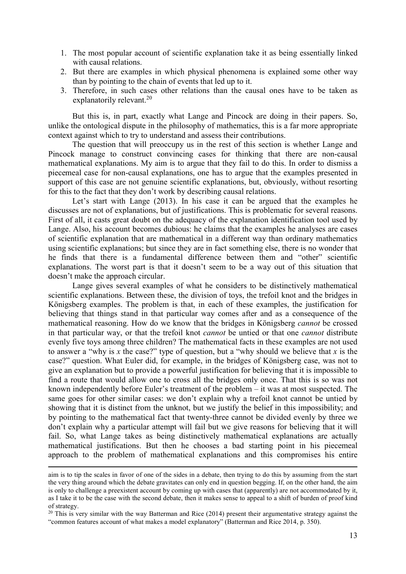- 1. The most popular account of scientific explanation take it as being essentially linked with causal relations.
- 2. But there are examples in which physical phenomena is explained some other way than by pointing to the chain of events that led up to it.
- 3. Therefore, in such cases other relations than the causal ones have to be taken as explanatorily relevant.<sup>20</sup>

 But this is, in part, exactly what Lange and Pincock are doing in their papers. So, unlike the ontological dispute in the philosophy of mathematics, this is a far more appropriate context against which to try to understand and assess their contributions.

 The question that will preoccupy us in the rest of this section is whether Lange and Pincock manage to construct convincing cases for thinking that there are non-causal mathematical explanations. My aim is to argue that they fail to do this. In order to dismiss a piecemeal case for non-causal explanations, one has to argue that the examples presented in support of this case are not genuine scientific explanations, but, obviously, without resorting for this to the fact that they don't work by describing causal relations.

 Let's start with Lange (2013). In his case it can be argued that the examples he discusses are not of explanations, but of justifications. This is problematic for several reasons. First of all, it casts great doubt on the adequacy of the explanation identification tool used by Lange. Also, his account becomes dubious: he claims that the examples he analyses are cases of scientific explanation that are mathematical in a different way than ordinary mathematics using scientific explanations; but since they are in fact something else, there is no wonder that he finds that there is a fundamental difference between them and "other" scientific explanations. The worst part is that it doesn't seem to be a way out of this situation that doesn't make the approach circular.

 Lange gives several examples of what he considers to be distinctively mathematical scientific explanations. Between these, the division of toys, the trefoil knot and the bridges in Königsberg examples. The problem is that, in each of these examples, the justification for believing that things stand in that particular way comes after and as a consequence of the mathematical reasoning. How do we know that the bridges in Königsberg cannot be crossed in that particular way, or that the trefoil knot *cannot* be untied or that one *cannot* distribute evenly five toys among three children? The mathematical facts in these examples are not used to answer a "why is x the case?" type of question, but a "why should we believe that x is the case?" question. What Euler did, for example, in the bridges of Königsberg case, was not to give an explanation but to provide a powerful justification for believing that it is impossible to find a route that would allow one to cross all the bridges only once. That this is so was not known independently before Euler's treatment of the problem – it was at most suspected. The same goes for other similar cases: we don't explain why a trefoil knot cannot be untied by showing that it is distinct from the unknot, but we justify the belief in this impossibility; and by pointing to the mathematical fact that twenty-three cannot be divided evenly by three we don't explain why a particular attempt will fail but we give reasons for believing that it will fail. So, what Lange takes as being distinctively mathematical explanations are actually mathematical justifications. But then he chooses a bad starting point in his piecemeal approach to the problem of mathematical explanations and this compromises his entire

-

aim is to tip the scales in favor of one of the sides in a debate, then trying to do this by assuming from the start the very thing around which the debate gravitates can only end in question begging. If, on the other hand, the aim is only to challenge a preexistent account by coming up with cases that (apparently) are not accommodated by it, as I take it to be the case with the second debate, then it makes sense to appeal to a shift of burden of proof kind of strategy.

 $20$  This is very similar with the way Batterman and Rice (2014) present their argumentative strategy against the "common features account of what makes a model explanatory" (Batterman and Rice 2014, p. 350).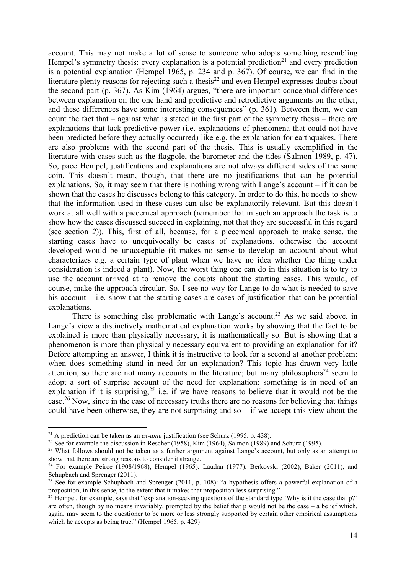account. This may not make a lot of sense to someone who adopts something resembling Hempel's symmetry thesis: every explanation is a potential prediction<sup>21</sup> and every prediction is a potential explanation (Hempel 1965, p. 234 and p. 367). Of course, we can find in the literature plenty reasons for rejecting such a thesis<sup>22</sup> and even Hempel expresses doubts about the second part (p. 367). As Kim (1964) argues, "there are important conceptual differences between explanation on the one hand and predictive and retrodictive arguments on the other, and these differences have some interesting consequences" (p. 361). Between them, we can count the fact that – against what is stated in the first part of the symmetry thesis – there are explanations that lack predictive power (i.e. explanations of phenomena that could not have been predicted before they actually occurred) like e.g. the explanation for earthquakes. There are also problems with the second part of the thesis. This is usually exemplified in the literature with cases such as the flagpole, the barometer and the tides (Salmon 1989, p. 47). So, pace Hempel, justifications and explanations are not always different sides of the same coin. This doesn't mean, though, that there are no justifications that can be potential explanations. So, it may seem that there is nothing wrong with Lange's account – if it can be shown that the cases he discusses belong to this category. In order to do this, he needs to show that the information used in these cases can also be explanatorily relevant. But this doesn't work at all well with a piecemeal approach (remember that in such an approach the task is to show how the cases discussed succeed in explaining, not that they are successful in this regard (see section 2)). This, first of all, because, for a piecemeal approach to make sense, the starting cases have to unequivocally be cases of explanations, otherwise the account developed would be unacceptable (it makes no sense to develop an account about what characterizes e.g. a certain type of plant when we have no idea whether the thing under consideration is indeed a plant). Now, the worst thing one can do in this situation is to try to use the account arrived at to remove the doubts about the starting cases. This would, of course, make the approach circular. So, I see no way for Lange to do what is needed to save his account – i.e. show that the starting cases are cases of justification that can be potential explanations.

There is something else problematic with Lange's account.<sup>23</sup> As we said above, in Lange's view a distinctively mathematical explanation works by showing that the fact to be explained is more than physically necessary, it is mathematically so. But is showing that a phenomenon is more than physically necessary equivalent to providing an explanation for it? Before attempting an answer, I think it is instructive to look for a second at another problem: when does something stand in need for an explanation? This topic has drawn very little attention, so there are not many accounts in the literature; but many philosophers<sup>24</sup> seem to adopt a sort of surprise account of the need for explanation: something is in need of an explanation if it is surprising,  $2^5$  i.e. if we have reasons to believe that it would not be the case.<sup>26</sup> Now, since in the case of necessary truths there are no reasons for believing that things could have been otherwise, they are not surprising and so  $-$  if we accept this view about the

<sup>&</sup>lt;sup>21</sup> A prediction can be taken as an *ex-ante* justification (see Schurz (1995, p. 438).

<sup>&</sup>lt;sup>22</sup> See for example the discussion in Rescher (1958), Kim (1964), Salmon (1989) and Schurz (1995).

<sup>&</sup>lt;sup>23</sup> What follows should not be taken as a further argument against Lange's account, but only as an attempt to show that there are strong reasons to consider it strange.

<sup>&</sup>lt;sup>24</sup> For example Peirce (1908/1968), Hempel (1965), Laudan (1977), Berkovski (2002), Baker (2011), and Schupbach and Sprenger (2011).

<sup>&</sup>lt;sup>25</sup> See for example Schupbach and Sprenger (2011, p. 108): "a hypothesis offers a powerful explanation of a proposition, in this sense, to the extent that it makes that proposition less surprising."

 $26$  Hempel, for example, says that "explanation-seeking questions of the standard type 'Why is it the case that p?' are often, though by no means invariably, prompted by the belief that p would not be the case – a belief which, again, may seem to the questioner to be more or less strongly supported by certain other empirical assumptions which he accepts as being true." (Hempel 1965, p. 429)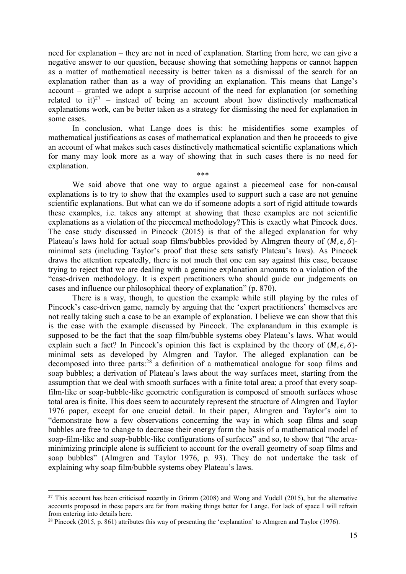need for explanation – they are not in need of explanation. Starting from here, we can give a negative answer to our question, because showing that something happens or cannot happen as a matter of mathematical necessity is better taken as a dismissal of the search for an explanation rather than as a way of providing an explanation. This means that Lange's account – granted we adopt a surprise account of the need for explanation (or something related to it)<sup>27</sup> – instead of being an account about how distinctively mathematical explanations work, can be better taken as a strategy for dismissing the need for explanation in some cases.

 In conclusion, what Lange does is this: he misidentifies some examples of mathematical justifications as cases of mathematical explanation and then he proceeds to give an account of what makes such cases distinctively mathematical scientific explanations which for many may look more as a way of showing that in such cases there is no need for explanation. \*\*\*

 We said above that one way to argue against a piecemeal case for non-causal explanations is to try to show that the examples used to support such a case are not genuine scientific explanations. But what can we do if someone adopts a sort of rigid attitude towards these examples, i.e. takes any attempt at showing that these examples are not scientific explanations as a violation of the piecemeal methodology? This is exactly what Pincock does. The case study discussed in Pincock (2015) is that of the alleged explanation for why Plateau's laws hold for actual soap films/bubbles provided by Almgren theory of  $(M, \epsilon, \delta)$ minimal sets (including Taylor's proof that these sets satisfy Plateau's laws). As Pincock draws the attention repeatedly, there is not much that one can say against this case, because trying to reject that we are dealing with a genuine explanation amounts to a violation of the "case-driven methodology. It is expert practitioners who should guide our judgements on cases and influence our philosophical theory of explanation" (p. 870).

 There is a way, though, to question the example while still playing by the rules of Pincock's case-driven game, namely by arguing that the 'expert practitioners' themselves are not really taking such a case to be an example of explanation. I believe we can show that this is the case with the example discussed by Pincock. The explanandum in this example is supposed to be the fact that the soap film/bubble systems obey Plateau's laws. What would explain such a fact? In Pincock's opinion this fact is explained by the theory of  $(M, \epsilon, \delta)$ minimal sets as developed by Almgren and Taylor. The alleged explanation can be decomposed into three parts:<sup>28</sup> a definition of a mathematical analogue for soap films and soap bubbles; a derivation of Plateau's laws about the way surfaces meet, starting from the assumption that we deal with smooth surfaces with a finite total area; a proof that every soapfilm-like or soap-bubble-like geometric configuration is composed of smooth surfaces whose total area is finite. This does seem to accurately represent the structure of Almgren and Taylor 1976 paper, except for one crucial detail. In their paper, Almgren and Taylor's aim to "demonstrate how a few observations concerning the way in which soap films and soap bubbles are free to change to decrease their energy form the basis of a mathematical model of soap-film-like and soap-bubble-like configurations of surfaces" and so, to show that "the areaminimizing principle alone is sufficient to account for the overall geometry of soap films and soap bubbles" (Almgren and Taylor 1976, p. 93). They do not undertake the task of explaining why soap film/bubble systems obey Plateau's laws.

 $27$  This account has been criticised recently in Grimm (2008) and Wong and Yudell (2015), but the alternative accounts proposed in these papers are far from making things better for Lange. For lack of space I will refrain from entering into details here.

<sup>&</sup>lt;sup>28</sup> Pincock (2015, p. 861) attributes this way of presenting the 'explanation' to Almgren and Taylor (1976).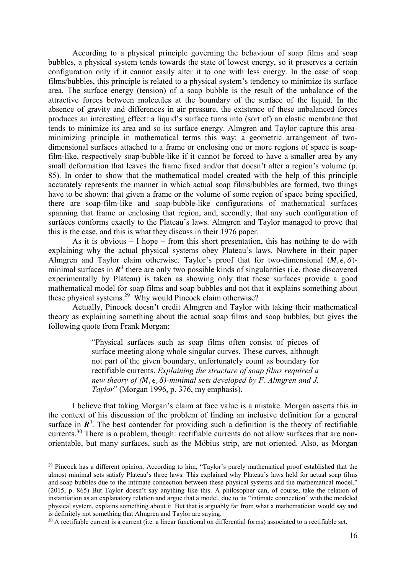According to a physical principle governing the behaviour of soap films and soap bubbles, a physical system tends towards the state of lowest energy, so it preserves a certain configuration only if it cannot easily alter it to one with less energy. In the case of soap films/bubbles, this principle is related to a physical system's tendency to minimize its surface area. The surface energy (tension) of a soap bubble is the result of the unbalance of the attractive forces between molecules at the boundary of the surface of the liquid. In the absence of gravity and differences in air pressure, the existence of these unbalanced forces produces an interesting effect: a liquid's surface turns into (sort of) an elastic membrane that tends to minimize its area and so its surface energy. Almgren and Taylor capture this areaminimizing principle in mathematical terms this way: a geometric arrangement of twodimensional surfaces attached to a frame or enclosing one or more regions of space is soapfilm-like, respectively soap-bubble-like if it cannot be forced to have a smaller area by any small deformation that leaves the frame fixed and/or that doesn't alter a region's volume (p. 85). In order to show that the mathematical model created with the help of this principle accurately represents the manner in which actual soap films/bubbles are formed, two things have to be shown: that given a frame or the volume of some region of space being specified, there are soap-film-like and soap-bubble-like configurations of mathematical surfaces spanning that frame or enclosing that region, and, secondly, that any such configuration of surfaces conforms exactly to the Plateau's laws. Almgren and Taylor managed to prove that this is the case, and this is what they discuss in their 1976 paper.

 As it is obvious – I hope – from this short presentation, this has nothing to do with explaining why the actual physical systems obey Plateau's laws. Nowhere in their paper Almgren and Taylor claim otherwise. Taylor's proof that for two-dimensional  $(M, \epsilon, \delta)$ minimal surfaces in  $\mathbb{R}^3$  there are only two possible kinds of singularities (i.e. those discovered experimentally by Plateau) is taken as showing only that these surfaces provide a good mathematical model for soap films and soap bubbles and not that it explains something about these physical systems.<sup>29</sup> Why would Pincock claim otherwise?

 Actually, Pincock doesn't credit Almgren and Taylor with taking their mathematical theory as explaining something about the actual soap films and soap bubbles, but gives the following quote from Frank Morgan:

> "Physical surfaces such as soap films often consist of pieces of surface meeting along whole singular curves. These curves, although not part of the given boundary, unfortunately count as boundary for rectifiable currents. Explaining the structure of soap films required a new theory of  $(M, \epsilon, \delta)$ -minimal sets developed by F. Almgren and J. Taylor" (Morgan 1996, p. 376, my emphasis).

 I believe that taking Morgan's claim at face value is a mistake. Morgan asserts this in the context of his discussion of the problem of finding an inclusive definition for a general surface in  $\mathbb{R}^3$ . The best contender for providing such a definition is the theory of rectifiable currents.<sup>30</sup> There is a problem, though: rectifiable currents do not allow surfaces that are nonorientable, but many surfaces, such as the Möbius strip, are not oriented. Also, as Morgan

<sup>&</sup>lt;sup>29</sup> Pincock has a different opinion. According to him, "Taylor's purely mathematical proof established that the almost minimal sets satisfy Plateau's three laws. This explained why Plateau's laws held for actual soap films and soap bubbles due to the intimate connection between these physical systems and the mathematical model." (2015, p. 865) But Taylor doesn't say anything like this. A philosopher can, of course, take the relation of instantiation as an explanatory relation and argue that a model, due to its "intimate connection" with the modeled physical system, explains something about it. But that is arguably far from what a mathematician would say and is definitely not something that Almgren and Taylor are saying.

<sup>&</sup>lt;sup>30</sup> A rectifiable current is a current (i.e. a linear functional on differential forms) associated to a rectifiable set.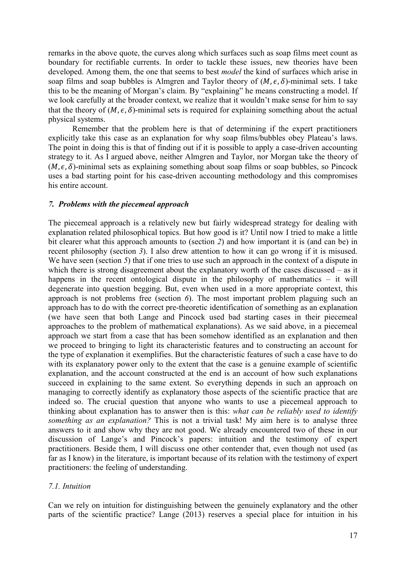remarks in the above quote, the curves along which surfaces such as soap films meet count as boundary for rectifiable currents. In order to tackle these issues, new theories have been developed. Among them, the one that seems to best *model* the kind of surfaces which arise in soap films and soap bubbles is Almgren and Taylor theory of  $(M, \epsilon, \delta)$ -minimal sets. I take this to be the meaning of Morgan's claim. By "explaining" he means constructing a model. If we look carefully at the broader context, we realize that it wouldn't make sense for him to say that the theory of  $(M, \epsilon, \delta)$ -minimal sets is required for explaining something about the actual physical systems.

 Remember that the problem here is that of determining if the expert practitioners explicitly take this case as an explanation for why soap films/bubbles obey Plateau's laws. The point in doing this is that of finding out if it is possible to apply a case-driven accounting strategy to it. As I argued above, neither Almgren and Taylor, nor Morgan take the theory of  $(M, \epsilon, \delta)$ -minimal sets as explaining something about soap films or soap bubbles, so Pincock uses a bad starting point for his case-driven accounting methodology and this compromises his entire account.

#### 7. Problems with the piecemeal approach

The piecemeal approach is a relatively new but fairly widespread strategy for dealing with explanation related philosophical topics. But how good is it? Until now I tried to make a little bit clearer what this approach amounts to (section 2) and how important it is (and can be) in recent philosophy (section 3). I also drew attention to how it can go wrong if it is misused. We have seen (section 5) that if one tries to use such an approach in the context of a dispute in which there is strong disagreement about the explanatory worth of the cases discussed – as it happens in the recent ontological dispute in the philosophy of mathematics – it will degenerate into question begging. But, even when used in a more appropriate context, this approach is not problems free (section  $6$ ). The most important problem plaguing such an approach has to do with the correct pre-theoretic identification of something as an explanation (we have seen that both Lange and Pincock used bad starting cases in their piecemeal approaches to the problem of mathematical explanations). As we said above, in a piecemeal approach we start from a case that has been somehow identified as an explanation and then we proceed to bringing to light its characteristic features and to constructing an account for the type of explanation it exemplifies. But the characteristic features of such a case have to do with its explanatory power only to the extent that the case is a genuine example of scientific explanation, and the account constructed at the end is an account of how such explanations succeed in explaining to the same extent. So everything depends in such an approach on managing to correctly identify as explanatory those aspects of the scientific practice that are indeed so. The crucial question that anyone who wants to use a piecemeal approach to thinking about explanation has to answer then is this: what can be reliably used to identify something as an explanation? This is not a trivial task! My aim here is to analyse three answers to it and show why they are not good. We already encountered two of these in our discussion of Lange's and Pincock's papers: intuition and the testimony of expert practitioners. Beside them, I will discuss one other contender that, even though not used (as far as I know) in the literature, is important because of its relation with the testimony of expert practitioners: the feeling of understanding.

#### 7.1. Intuition

Can we rely on intuition for distinguishing between the genuinely explanatory and the other parts of the scientific practice? Lange (2013) reserves a special place for intuition in his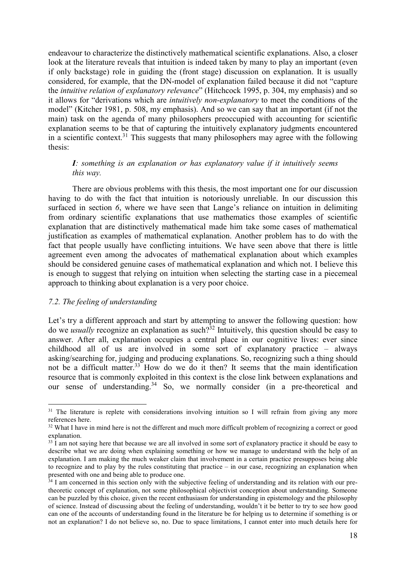endeavour to characterize the distinctively mathematical scientific explanations. Also, a closer look at the literature reveals that intuition is indeed taken by many to play an important (even if only backstage) role in guiding the (front stage) discussion on explanation. It is usually considered, for example, that the DN-model of explanation failed because it did not "capture the *intuitive relation of explanatory relevance*" (Hitchcock 1995, p. 304, my emphasis) and so it allows for "derivations which are intuitively non-explanatory to meet the conditions of the model" (Kitcher 1981, p. 508, my emphasis). And so we can say that an important (if not the main) task on the agenda of many philosophers preoccupied with accounting for scientific explanation seems to be that of capturing the intuitively explanatory judgments encountered in a scientific context.<sup>31</sup> This suggests that many philosophers may agree with the following thesis:

# I: something is an explanation or has explanatory value if it intuitively seems this way.

 There are obvious problems with this thesis, the most important one for our discussion having to do with the fact that intuition is notoriously unreliable. In our discussion this surfaced in section 6, where we have seen that Lange's reliance on intuition in delimiting from ordinary scientific explanations that use mathematics those examples of scientific explanation that are distinctively mathematical made him take some cases of mathematical justification as examples of mathematical explanation. Another problem has to do with the fact that people usually have conflicting intuitions. We have seen above that there is little agreement even among the advocates of mathematical explanation about which examples should be considered genuine cases of mathematical explanation and which not. I believe this is enough to suggest that relying on intuition when selecting the starting case in a piecemeal approach to thinking about explanation is a very poor choice.

### 7.2. The feeling of understanding

 $\overline{a}$ 

Let's try a different approach and start by attempting to answer the following question: how do we *usually* recognize an explanation as such?<sup>32</sup> Intuitively, this question should be easy to answer. After all, explanation occupies a central place in our cognitive lives: ever since childhood all of us are involved in some sort of explanatory practice – always asking/searching for, judging and producing explanations. So, recognizing such a thing should not be a difficult matter.<sup>33</sup> How do we do it then? It seems that the main identification resource that is commonly exploited in this context is the close link between explanations and our sense of understanding.<sup>34</sup> So, we normally consider (in a pre-theoretical and

<sup>&</sup>lt;sup>31</sup> The literature is replete with considerations involving intuition so I will refrain from giving any more references here.

<sup>&</sup>lt;sup>32</sup> What I have in mind here is not the different and much more difficult problem of recognizing a correct or good explanation.

 $33 \overline{1}$  am not saying here that because we are all involved in some sort of explanatory practice it should be easy to describe what we are doing when explaining something or how we manage to understand with the help of an explanation. I am making the much weaker claim that involvement in a certain practice presupposes being able to recognize and to play by the rules constituting that practice – in our case, recognizing an explanation when presented with one and being able to produce one.

 $34$  I am concerned in this section only with the subjective feeling of understanding and its relation with our pretheoretic concept of explanation, not some philosophical objectivist conception about understanding. Someone can be puzzled by this choice, given the recent enthusiasm for understanding in epistemology and the philosophy of science. Instead of discussing about the feeling of understanding, wouldn't it be better to try to see how good can one of the accounts of understanding found in the literature be for helping us to determine if something is or not an explanation? I do not believe so, no. Due to space limitations, I cannot enter into much details here for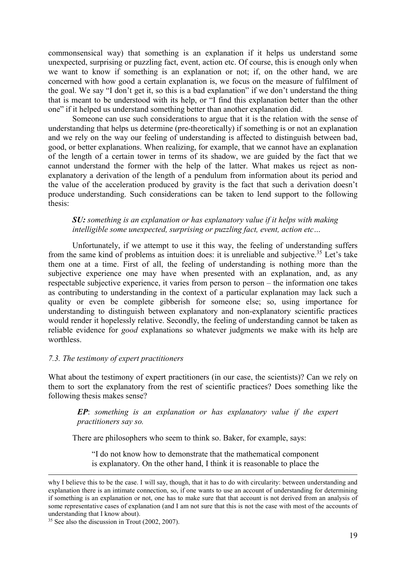commonsensical way) that something is an explanation if it helps us understand some unexpected, surprising or puzzling fact, event, action etc. Of course, this is enough only when we want to know if something is an explanation or not; if, on the other hand, we are concerned with how good a certain explanation is, we focus on the measure of fulfilment of the goal. We say "I don't get it, so this is a bad explanation" if we don't understand the thing that is meant to be understood with its help, or "I find this explanation better than the other one" if it helped us understand something better than another explanation did.

 Someone can use such considerations to argue that it is the relation with the sense of understanding that helps us determine (pre-theoretically) if something is or not an explanation and we rely on the way our feeling of understanding is affected to distinguish between bad, good, or better explanations. When realizing, for example, that we cannot have an explanation of the length of a certain tower in terms of its shadow, we are guided by the fact that we cannot understand the former with the help of the latter. What makes us reject as nonexplanatory a derivation of the length of a pendulum from information about its period and the value of the acceleration produced by gravity is the fact that such a derivation doesn't produce understanding. Such considerations can be taken to lend support to the following thesis:

SU: something is an explanation or has explanatory value if it helps with making intelligible some unexpected, surprising or puzzling fact, event, action etc…

 Unfortunately, if we attempt to use it this way, the feeling of understanding suffers from the same kind of problems as intuition does: it is unreliable and subjective.<sup>35</sup> Let's take them one at a time. First of all, the feeling of understanding is nothing more than the subjective experience one may have when presented with an explanation, and, as any respectable subjective experience, it varies from person to person – the information one takes as contributing to understanding in the context of a particular explanation may lack such a quality or even be complete gibberish for someone else; so, using importance for understanding to distinguish between explanatory and non-explanatory scientific practices would render it hopelessly relative. Secondly, the feeling of understanding cannot be taken as reliable evidence for *good* explanations so whatever judgments we make with its help are worthless.

### 7.3. The testimony of expert practitioners

What about the testimony of expert practitioners (in our case, the scientists)? Can we rely on them to sort the explanatory from the rest of scientific practices? Does something like the following thesis makes sense?

EP: something is an explanation or has explanatory value if the expert practitioners say so.

There are philosophers who seem to think so. Baker, for example, says:

"I do not know how to demonstrate that the mathematical component is explanatory. On the other hand, I think it is reasonable to place the

-

why I believe this to be the case. I will say, though, that it has to do with circularity: between understanding and explanation there is an intimate connection, so, if one wants to use an account of understanding for determining if something is an explanation or not, one has to make sure that that account is not derived from an analysis of some representative cases of explanation (and I am not sure that this is not the case with most of the accounts of understanding that I know about).

<sup>&</sup>lt;sup>35</sup> See also the discussion in Trout (2002, 2007).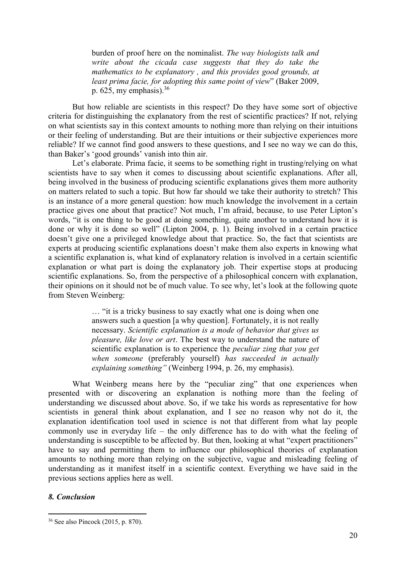burden of proof here on the nominalist. The way biologists talk and write about the cicada case suggests that they do take the mathematics to be explanatory , and this provides good grounds, at least prima facie, for adopting this same point of view" (Baker 2009, p. 625, my emphasis).  $36$ 

 But how reliable are scientists in this respect? Do they have some sort of objective criteria for distinguishing the explanatory from the rest of scientific practices? If not, relying on what scientists say in this context amounts to nothing more than relying on their intuitions or their feeling of understanding. But are their intuitions or their subjective experiences more reliable? If we cannot find good answers to these questions, and I see no way we can do this, than Baker's 'good grounds' vanish into thin air.

 Let's elaborate. Prima facie, it seems to be something right in trusting/relying on what scientists have to say when it comes to discussing about scientific explanations. After all, being involved in the business of producing scientific explanations gives them more authority on matters related to such a topic. But how far should we take their authority to stretch? This is an instance of a more general question: how much knowledge the involvement in a certain practice gives one about that practice? Not much, I'm afraid, because, to use Peter Lipton's words, "it is one thing to be good at doing something, quite another to understand how it is done or why it is done so well" (Lipton 2004, p. 1). Being involved in a certain practice doesn't give one a privileged knowledge about that practice. So, the fact that scientists are experts at producing scientific explanations doesn't make them also experts in knowing what a scientific explanation is, what kind of explanatory relation is involved in a certain scientific explanation or what part is doing the explanatory job. Their expertise stops at producing scientific explanations. So, from the perspective of a philosophical concern with explanation, their opinions on it should not be of much value. To see why, let's look at the following quote from Steven Weinberg:

> … "it is a tricky business to say exactly what one is doing when one answers such a question [a why question]. Fortunately, it is not really necessary. Scientific explanation is a mode of behavior that gives us pleasure, like love or art. The best way to understand the nature of scientific explanation is to experience the *peculiar zing that you get* when someone (preferably yourself) has succeeded in actually explaining something" (Weinberg 1994, p. 26, my emphasis).

What Weinberg means here by the "peculiar zing" that one experiences when presented with or discovering an explanation is nothing more than the feeling of understanding we discussed about above. So, if we take his words as representative for how scientists in general think about explanation, and I see no reason why not do it, the explanation identification tool used in science is not that different from what lay people commonly use in everyday life – the only difference has to do with what the feeling of understanding is susceptible to be affected by. But then, looking at what "expert practitioners" have to say and permitting them to influence our philosophical theories of explanation amounts to nothing more than relying on the subjective, vague and misleading feeling of understanding as it manifest itself in a scientific context. Everything we have said in the previous sections applies here as well.

### 8. Conclusion

<sup>36</sup> See also Pincock (2015, p. 870).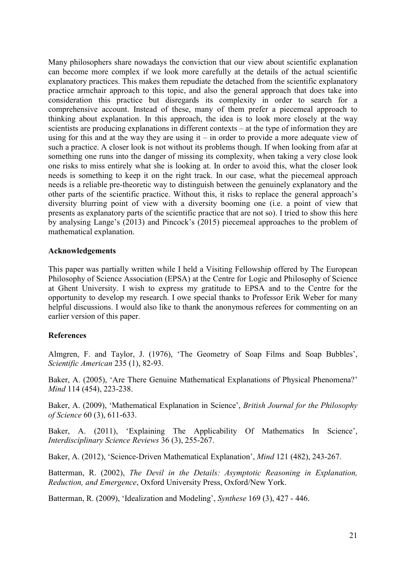Many philosophers share nowadays the conviction that our view about scientific explanation can become more complex if we look more carefully at the details of the actual scientific explanatory practices. This makes them repudiate the detached from the scientific explanatory practice armchair approach to this topic, and also the general approach that does take into consideration this practice but disregards its complexity in order to search for a comprehensive account. Instead of these, many of them prefer a piecemeal approach to thinking about explanation. In this approach, the idea is to look more closely at the way scientists are producing explanations in different contexts – at the type of information they are using for this and at the way they are using it – in order to provide a more adequate view of such a practice. A closer look is not without its problems though. If when looking from afar at something one runs into the danger of missing its complexity, when taking a very close look one risks to miss entirely what she is looking at. In order to avoid this, what the closer look needs is something to keep it on the right track. In our case, what the piecemeal approach needs is a reliable pre-theoretic way to distinguish between the genuinely explanatory and the other parts of the scientific practice. Without this, it risks to replace the general approach's diversity blurring point of view with a diversity booming one (i.e. a point of view that presents as explanatory parts of the scientific practice that are not so). I tried to show this here by analysing Lange's (2013) and Pincock's (2015) piecemeal approaches to the problem of mathematical explanation.

### Acknowledgements

This paper was partially written while I held a Visiting Fellowship offered by The European Philosophy of Science Association (EPSA) at the Centre for Logic and Philosophy of Science at Ghent University. I wish to express my gratitude to EPSA and to the Centre for the opportunity to develop my research. I owe special thanks to Professor Erik Weber for many helpful discussions. I would also like to thank the anonymous referees for commenting on an earlier version of this paper.

# References

Almgren, F. and Taylor, J. (1976), 'The Geometry of Soap Films and Soap Bubbles', Scientific American 235 (1), 82-93.

Baker, A. (2005), 'Are There Genuine Mathematical Explanations of Physical Phenomena?' Mind 114 (454), 223-238.

Baker, A. (2009), 'Mathematical Explanation in Science', British Journal for the Philosophy of Science 60 (3), 611-633.

Baker, A. (2011), 'Explaining The Applicability Of Mathematics In Science', Interdisciplinary Science Reviews 36 (3), 255-267.

Baker, A. (2012), 'Science-Driven Mathematical Explanation', Mind 121 (482), 243-267.

Batterman, R. (2002), The Devil in the Details: Asymptotic Reasoning in Explanation, Reduction, and Emergence, Oxford University Press, Oxford/New York.

Batterman, R. (2009), 'Idealization and Modeling', Synthese 169 (3), 427 - 446.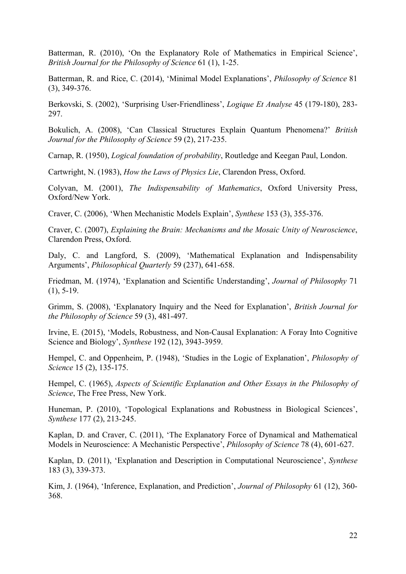Batterman, R. (2010), 'On the Explanatory Role of Mathematics in Empirical Science', British Journal for the Philosophy of Science 61 (1), 1-25.

Batterman, R. and Rice, C. (2014), 'Minimal Model Explanations', Philosophy of Science 81 (3), 349-376.

Berkovski, S. (2002), 'Surprising User-Friendliness', Logique Et Analyse 45 (179-180), 283- 297.

Bokulich, A. (2008), 'Can Classical Structures Explain Quantum Phenomena?' British Journal for the Philosophy of Science 59 (2), 217-235.

Carnap, R. (1950), Logical foundation of probability, Routledge and Keegan Paul, London.

Cartwright, N. (1983), How the Laws of Physics Lie, Clarendon Press, Oxford.

Colyvan, M. (2001), The Indispensability of Mathematics, Oxford University Press, Oxford/New York.

Craver, C. (2006), 'When Mechanistic Models Explain', Synthese 153 (3), 355-376.

Craver, C. (2007), Explaining the Brain: Mechanisms and the Mosaic Unity of Neuroscience, Clarendon Press, Oxford.

Daly, C. and Langford, S. (2009), 'Mathematical Explanation and Indispensability Arguments', Philosophical Quarterly 59 (237), 641-658.

Friedman, M. (1974), 'Explanation and Scientific Understanding', Journal of Philosophy 71  $(1), 5-19.$ 

Grimm, S. (2008), 'Explanatory Inquiry and the Need for Explanation', British Journal for the Philosophy of Science 59 (3), 481-497.

Irvine, E. (2015), 'Models, Robustness, and Non-Causal Explanation: A Foray Into Cognitive Science and Biology', Synthese 192 (12), 3943-3959.

Hempel, C. and Oppenheim, P. (1948), 'Studies in the Logic of Explanation', Philosophy of Science 15 (2), 135-175.

Hempel, C. (1965), Aspects of Scientific Explanation and Other Essays in the Philosophy of Science, The Free Press, New York.

Huneman, P. (2010), 'Topological Explanations and Robustness in Biological Sciences', Synthese 177 (2), 213-245.

Kaplan, D. and Craver, C. (2011), 'The Explanatory Force of Dynamical and Mathematical Models in Neuroscience: A Mechanistic Perspective', Philosophy of Science 78 (4), 601-627.

Kaplan, D. (2011), 'Explanation and Description in Computational Neuroscience', Synthese 183 (3), 339-373.

Kim, J. (1964), 'Inference, Explanation, and Prediction', *Journal of Philosophy* 61 (12), 360-368.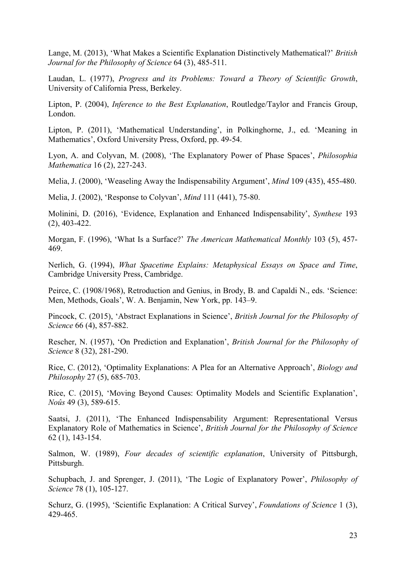Lange, M. (2013), 'What Makes a Scientific Explanation Distinctively Mathematical?' British Journal for the Philosophy of Science 64 (3), 485-511.

Laudan, L. (1977), Progress and its Problems: Toward a Theory of Scientific Growth, University of California Press, Berkeley.

Lipton, P. (2004), Inference to the Best Explanation, Routledge/Taylor and Francis Group, London.

Lipton, P. (2011), 'Mathematical Understanding', in Polkinghorne, J., ed. 'Meaning in Mathematics', Oxford University Press, Oxford, pp. 49-54.

Lyon, A. and Colyvan, M. (2008), 'The Explanatory Power of Phase Spaces', Philosophia Mathematica 16 (2), 227-243.

Melia, J. (2000), 'Weaseling Away the Indispensability Argument', Mind 109 (435), 455-480.

Melia, J. (2002), 'Response to Colyvan', Mind 111 (441), 75-80.

Molinini, D. (2016), 'Evidence, Explanation and Enhanced Indispensability', Synthese 193 (2), 403-422.

Morgan, F. (1996), 'What Is a Surface?' The American Mathematical Monthly 103 (5), 457-469.

Nerlich, G. (1994), What Spacetime Explains: Metaphysical Essays on Space and Time, Cambridge University Press, Cambridge.

Peirce, C. (1908/1968), Retroduction and Genius, in Brody, B. and Capaldi N., eds. 'Science: Men, Methods, Goals', W. A. Benjamin, New York, pp. 143–9.

Pincock, C. (2015), 'Abstract Explanations in Science', British Journal for the Philosophy of Science 66 (4), 857-882.

Rescher, N. (1957), 'On Prediction and Explanation', British Journal for the Philosophy of Science 8 (32), 281-290.

Rice, C. (2012), 'Optimality Explanations: A Plea for an Alternative Approach', Biology and Philosophy 27 (5), 685-703.

Rice, C. (2015), 'Moving Beyond Causes: Optimality Models and Scientific Explanation', Noûs 49 (3), 589-615.

Saatsi, J. (2011), 'The Enhanced Indispensability Argument: Representational Versus Explanatory Role of Mathematics in Science', British Journal for the Philosophy of Science 62 (1), 143-154.

Salmon, W. (1989), Four decades of scientific explanation, University of Pittsburgh, Pittsburgh.

Schupbach, J. and Sprenger, J. (2011), 'The Logic of Explanatory Power', Philosophy of Science 78 (1), 105-127.

Schurz, G. (1995), 'Scientific Explanation: A Critical Survey', *Foundations of Science* 1 (3), 429-465.